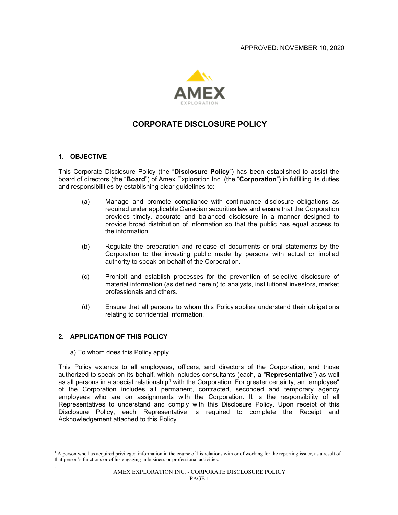

# **CORPORATE DISCLOSURE POLICY**

#### **1. OBJECTIVE**

This Corporate Disclosure Policy (the "**Disclosure Policy**") has been established to assist the board of directors (the "**Board**") of Amex Exploration Inc. (the "**Corporation**") in fulfilling its duties and responsibilities by establishing clear guidelines to:

- (a) Manage and promote compliance with continuance disclosure obligations as required under applicable Canadian securities law and ensure that the Corporation provides timely, accurate and balanced disclosure in a manner designed to provide broad distribution of information so that the public has equal access to the information.
- (b) Regulate the preparation and release of documents or oral statements by the Corporation to the investing public made by persons with actual or implied authority to speak on behalf of the Corporation.
- (c) Prohibit and establish processes for the prevention of selective disclosure of material information (as defined herein) to analysts, institutional investors, market professionals and others.
- (d) Ensure that all persons to whom this Policy applies understand their obligations relating to confidential information.

#### **2. APPLICATION OF THIS POLICY**

.

a) To whom does this Policy apply

This Policy extends to all employees, officers, and directors of the Corporation, and those authorized to speak on its behalf, which includes consultants (each, a "**Representative**") as well as all persons in a special relationship<sup>[1](#page-0-0)</sup> with the Corporation. For greater certainty, an "employee" of the Corporation includes all permanent, contracted, seconded and temporary agency employees who are on assignments with the Corporation. It is the responsibility of all Representatives to understand and comply with this Disclosure Policy. Upon receipt of this Disclosure Policy, each Representative is required to complete the Receipt and Acknowledgement attached to this Policy.

<span id="page-0-0"></span><sup>&</sup>lt;sup>1</sup> A person who has acquired privileged information in the course of his relations with or of working for the reporting issuer, as a result of that person's functions or of his engaging in business or professional activities.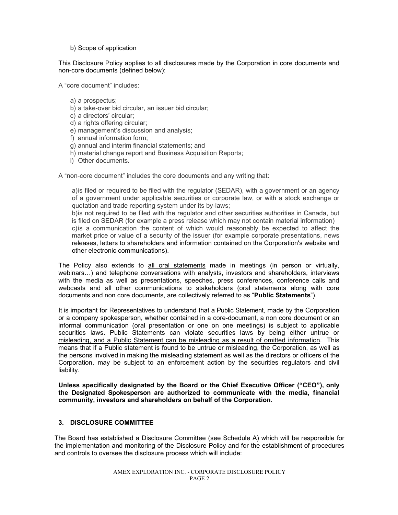#### b) Scope of application

This Disclosure Policy applies to all disclosures made by the Corporation in core documents and non-core documents (defined below):

A "core document" includes:

- a) a prospectus;
- b) a take-over bid circular, an issuer bid circular;
- c) a directors' circular;
- d) a rights offering circular;
- e) management's discussion and analysis;
- f) annual information form;
- g) annual and interim financial statements; and
- h) material change report and Business Acquisition Reports;
- i) Other documents.

A "non-core document" includes the core documents and any writing that:

a)is filed or required to be filed with the regulator (SEDAR), with a government or an agency of a government under applicable securities or corporate law, or with a stock exchange or quotation and trade reporting system under its by-laws;

b)is not required to be filed with the regulator and other securities authorities in Canada, but is filed on SEDAR (for example a press release which may not contain material information) c)is a communication the content of which would reasonably be expected to affect the market price or value of a security of the issuer (for example corporate presentations, news releases, letters to shareholders and information contained on the Corporation's website and other electronic communications).

The Policy also extends to all oral statements made in meetings (in person or virtually, webinars…) and telephone conversations with analysts, investors and shareholders, interviews with the media as well as presentations, speeches, press conferences, conference calls and webcasts and all other communications to stakeholders (oral statements along with core documents and non core documents, are collectively referred to as "**Public Statements**").

It is important for Representatives to understand that a Public Statement, made by the Corporation or a company spokesperson, whether contained in a core-document, a non core document or an informal communication (oral presentation or one on one meetings) is subject to applicable securities laws. Public Statements can violate securities laws by being either untrue or misleading, and a Public Statement can be misleading as a result of omitted information. This means that if a Public statement is found to be untrue or misleading, the Corporation, as well as the persons involved in making the misleading statement as well as the directors or officers of the Corporation, may be subject to an enforcement action by the securities regulators and civil liability.

**Unless specifically designated by the Board or the Chief Executive Officer ("CEO"), only the Designated Spokesperson are authorized to communicate with the media, financial community, investors and shareholders on behalf of the Corporation.** 

## **3. DISCLOSURE COMMITTEE**

The Board has established a Disclosure Committee (see Schedule A) which will be responsible for the implementation and monitoring of the Disclosure Policy and for the establishment of procedures and controls to oversee the disclosure process which will include: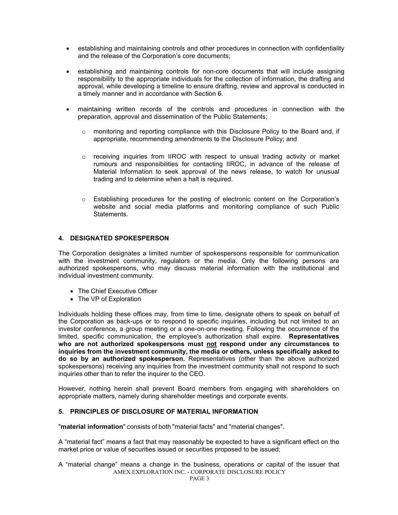- establishing and maintaining controls and other procedures in connection with confidentiality and the release of the Corporation's core documents;
- establishing and maintaining controls for non-core documents that will include assigning responsibility to the appropriate individuals for the collection of information, the drafting and approval, while developing a timeline to ensure drafting, review and approval is conducted in a timely manner and in accordance with Section [6.](#page-3-0)
- maintaining written records of the controls and procedures in connection with the preparation, approval and dissemination of the Public Statements;
	- $\circ$  monitoring and reporting compliance with this Disclosure Policy to the Board and, if appropriate, recommending amendments to the Disclosure Policy; and
	- $\circ$  receiving inquiries from IIROC with respect to unsual trading activity or market rumours and responsibilities for contacting IIROC, in advance of the release of Material Information to seek approval of the news release, to watch for unusual trading and to determine when a halt is required.
	- o Establishing procedures for the posting of electronic content on the Corporation's website and social media platforms and monitoring compliance of such Public Statements.

## **4. DESIGNATED SPOKESPERSON**

The Corporation designates a limited number of spokespersons responsible for communication with the investment community, regulators or the media. Only the following persons are authorized spokespersons, who may discuss material information with the institutional and individual investment community.

- The Chief Executive Officer
- The VP of Exploration

Individuals holding these offices may, from time to time, designate others to speak on behalf of the Corporation as back-ups or to respond to specific inquiries, including but not limited to an investor conference, a group meeting or a one-on-one meeting. Following the occurrence of the limited, specific communication, the employee's authorization shall expire. **Representatives who are not authorized spokespersons must not respond under any circumstances to inquiries from the investment community, the media or others, unless specifically asked to do so by an authorized spokesperson.** Representatives (other than the above authorized spokespersons) receiving any inquiries from the investment community shall not respond to such inquiries other than to refer the inquirer to the CEO.

However, nothing herein shall prevent Board members from engaging with shareholders on appropriate matters, namely during shareholder meetings and corporate events.

### <span id="page-2-0"></span>**5. PRINCIPLES OF DISCLOSURE OF MATERIAL INFORMATION**

"**material information**" consists of both "material facts" and "material changes".

A "material fact" means a fact that may reasonably be expected to have a significant effect on the market price or value of securities issued or securities proposed to be issued;

AMEX EXPLORATION INC. - CORPORATE DISCLOSURE POLICY A "material change" means a change in the business, operations or capital of the issuer that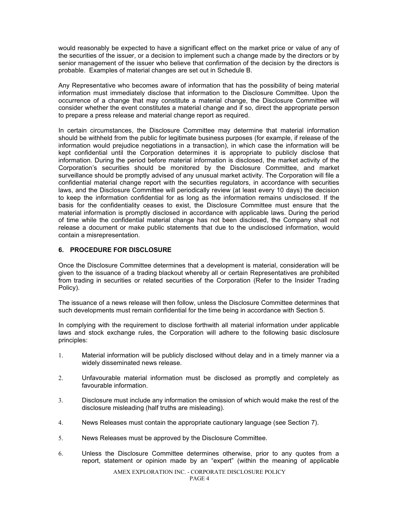would reasonably be expected to have a significant effect on the market price or value of any of the securities of the issuer, or a decision to implement such a change made by the directors or by senior management of the issuer who believe that confirmation of the decision by the directors is probable. Examples of material changes are set out in Schedule B.

Any Representative who becomes aware of information that has the possibility of being material information must immediately disclose that information to the Disclosure Committee. Upon the occurrence of a change that may constitute a material change, the Disclosure Committee will consider whether the event constitutes a material change and if so, direct the appropriate person to prepare a press release and material change report as required.

In certain circumstances, the Disclosure Committee may determine that material information should be withheld from the public for legitimate business purposes (for example, if release of the information would prejudice negotiations in a transaction), in which case the information will be kept confidential until the Corporation determines it is appropriate to publicly disclose that information. During the period before material information is disclosed, the market activity of the Corporation's securities should be monitored by the Disclosure Committee, and market surveillance should be promptly advised of any unusual market activity. The Corporation will file a confidential material change report with the securities regulators, in accordance with securities laws, and the Disclosure Committee will periodically review (at least every 10 days) the decision to keep the information confidential for as long as the information remains undisclosed. If the basis for the confidentiality ceases to exist, the Disclosure Committee must ensure that the material information is promptly disclosed in accordance with applicable laws. During the period of time while the confidential material change has not been disclosed, the Company shall not release a document or make public statements that due to the undisclosed information, would contain a misrepresentation.

#### <span id="page-3-0"></span>**6. PROCEDURE FOR DISCLOSURE**

Once the Disclosure Committee determines that a development is material, consideration will be given to the issuance of a trading blackout whereby all or certain Representatives are prohibited from trading in securities or related securities of the Corporation (Refer to the Insider Trading Policy).

The issuance of a news release will then follow, unless the Disclosure Committee determines that such developments must remain confidential for the time being in accordance with Section [5.](#page-2-0)

In complying with the requirement to disclose forthwith all material information under applicable laws and stock exchange rules, the Corporation will adhere to the following basic disclosure principles:

- 1. Material information will be publicly disclosed without delay and in a timely manner via a widely disseminated news release.
- 2. Unfavourable material information must be disclosed as promptly and completely as favourable information.
- 3. Disclosure must include any information the omission of which would make the rest of the disclosure misleading (half truths are misleading).
- 4. News Releases must contain the appropriate cautionary language (see Section [7\)](#page-4-0).
- 5. News Releases must be approved by the Disclosure Committee.
- 6. Unless the Disclosure Committee determines otherwise, prior to any quotes from a report, statement or opinion made by an "expert" (within the meaning of applicable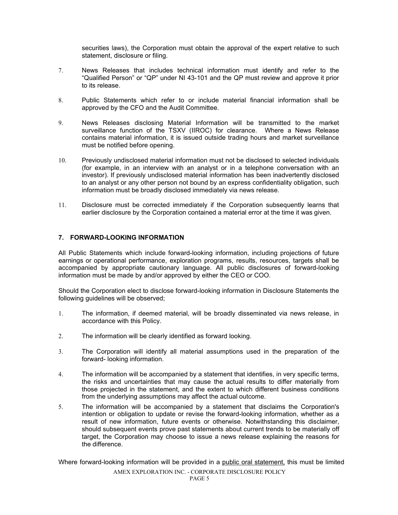securities laws), the Corporation must obtain the approval of the expert relative to such statement, disclosure or filing.

- 7. News Releases that includes technical information must identify and refer to the "Qualified Person" or "QP" under NI 43-101 and the QP must review and approve it prior to its release.
- 8. Public Statements which refer to or include material financial information shall be approved by the CFO and the Audit Committee.
- 9. News Releases disclosing Material Information will be transmitted to the market surveillance function of the TSXV (IIROC) for clearance. Where a News Release contains material information, it is issued outside trading hours and market surveillance must be notified before opening.
- 10. Previously undisclosed material information must not be disclosed to selected individuals (for example, in an interview with an analyst or in a telephone conversation with an investor). If previously undisclosed material information has been inadvertently disclosed to an analyst or any other person not bound by an express confidentiality obligation, such information must be broadly disclosed immediately via news release.
- 11. Disclosure must be corrected immediately if the Corporation subsequently learns that earlier disclosure by the Corporation contained a material error at the time it was given.

## <span id="page-4-0"></span>**7. FORWARD-LOOKING INFORMATION**

All Public Statements which include forward-looking information, including projections of future earnings or operational performance, exploration programs, results, resources, targets shall be accompanied by appropriate cautionary language. All public disclosures of forward-looking information must be made by and/or approved by either the CEO or COO.

Should the Corporation elect to disclose forward-looking information in Disclosure Statements the following guidelines will be observed;

- 1. The information, if deemed material, will be broadly disseminated via news release, in accordance with this Policy.
- 2. The information will be clearly identified as forward looking.
- 3. The Corporation will identify all material assumptions used in the preparation of the forward- looking information.
- 4. The information will be accompanied by a statement that identifies, in very specific terms, the risks and uncertainties that may cause the actual results to differ materially from those projected in the statement, and the extent to which different business conditions from the underlying assumptions may affect the actual outcome.
- 5. The information will be accompanied by a statement that disclaims the Corporation's intention or obligation to update or revise the forward-looking information, whether as a result of new information, future events or otherwise. Notwithstanding this disclaimer, should subsequent events prove past statements about current trends to be materially off target, the Corporation may choose to issue a news release explaining the reasons for the difference.

AMEX EXPLORATION INC. - CORPORATE DISCLOSURE POLICY PAGE 5 Where forward-looking information will be provided in a public oral statement, this must be limited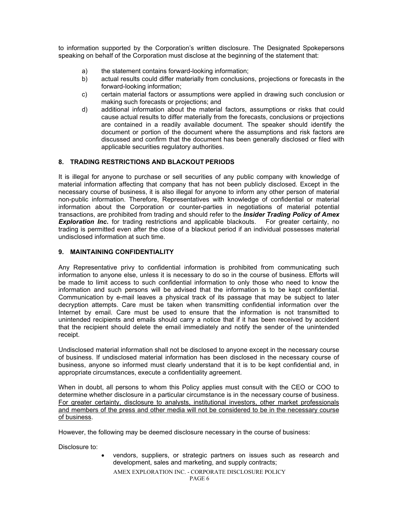to information supported by the Corporation's written disclosure. The Designated Spokepersons speaking on behalf of the Corporation must disclose at the beginning of the statement that:

- a) the statement contains forward-looking information;
- b) actual results could differ materially from conclusions, projections or forecasts in the forward-looking information;
- c) certain material factors or assumptions were applied in drawing such conclusion or making such forecasts or projections; and
- d) additional information about the material factors, assumptions or risks that could cause actual results to differ materially from the forecasts, conclusions or projections are contained in a readily available document. The speaker should identify the document or portion of the document where the assumptions and risk factors are discussed and confirm that the document has been generally disclosed or filed with applicable securities regulatory authorities.

## **8. TRADING RESTRICTIONS AND BLACKOUT PERIODS**

It is illegal for anyone to purchase or sell securities of any public company with knowledge of material information affecting that company that has not been publicly disclosed. Except in the necessary course of business, it is also illegal for anyone to inform any other person of material non-public information. Therefore, Representatives with knowledge of confidential or material information about the Corporation or counter-parties in negotiations of material potential transactions, are prohibited from trading and should refer to the *Insider Trading Policy of Amex*  **Exploration Inc.** for trading restrictions and applicable blackouts. trading is permitted even after the close of a blackout period if an individual possesses material undisclosed information at such time.

## **9. MAINTAINING CONFIDENTIALITY**

Any Representative privy to confidential information is prohibited from communicating such information to anyone else, unless it is necessary to do so in the course of business. Efforts will be made to limit access to such confidential information to only those who need to know the information and such persons will be advised that the information is to be kept confidential. Communication by e-mail leaves a physical track of its passage that may be subject to later decryption attempts. Care must be taken when transmitting confidential information over the Internet by email. Care must be used to ensure that the information is not transmitted to unintended recipients and emails should carry a notice that if it has been received by accident that the recipient should delete the email immediately and notify the sender of the unintended receipt.

Undisclosed material information shall not be disclosed to anyone except in the necessary course of business. If undisclosed material information has been disclosed in the necessary course of business, anyone so informed must clearly understand that it is to be kept confidential and, in appropriate circumstances, execute a confidentiality agreement.

When in doubt, all persons to whom this Policy applies must consult with the CEO or COO to determine whether disclosure in a particular circumstance is in the necessary course of business. For greater certainty, disclosure to analysts, institutional investors, other market professionals and members of the press and other media will not be considered to be in the necessary course of business.

However, the following may be deemed disclosure necessary in the course of business:

Disclosure to:

• vendors, suppliers, or strategic partners on issues such as research and development, sales and marketing, and supply contracts;

AMEX EXPLORATION INC. - CORPORATE DISCLOSURE POLICY PAGE 6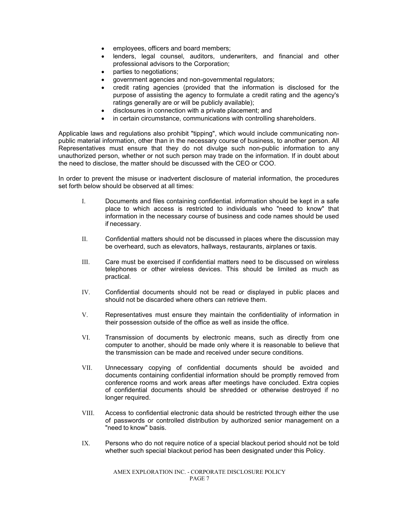- employees, officers and board members;
- lenders, legal counsel, auditors, underwriters, and financial and other professional advisors to the Corporation;
- parties to negotiations;
- government agencies and non-governmental regulators;
- credit rating agencies (provided that the information is disclosed for the purpose of assisting the agency to formulate a credit rating and the agency's ratings generally are or will be publicly available);
- disclosures in connection with a private placement; and
- in certain circumstance, communications with controlling shareholders.

Applicable laws and regulations also prohibit "tipping", which would include communicating nonpublic material information, other than in the necessary course of business, to another person. All Representatives must ensure that they do not divulge such non-public information to any unauthorized person, whether or not such person may trade on the information. If in doubt about the need to disclose, the matter should be discussed with the CEO or COO.

In order to prevent the misuse or inadvertent disclosure of material information, the procedures set forth below should be observed at all times:

- I. Documents and files containing confidential. information should be kept in a safe place to which access is restricted to individuals who "need to know" that information in the necessary course of business and code names should be used if necessary.
- II. Confidential matters should not be discussed in places where the discussion may be overheard, such as elevators, hallways, restaurants, airplanes or taxis.
- III. Care must be exercised if confidential matters need to be discussed on wireless telephones or other wireless devices. This should be limited as much as practical.
- IV. Confidential documents should not be read or displayed in public places and should not be discarded where others can retrieve them.
- V. Representatives must ensure they maintain the confidentiality of information in their possession outside of the office as well as inside the office.
- VI. Transmission of documents by electronic means, such as directly from one computer to another, should be made only where it is reasonable to believe that the transmission can be made and received under secure conditions.
- VII. Unnecessary copying of confidential documents should be avoided and documents containing confidential information should be promptly removed from conference rooms and work areas after meetings have concluded. Extra copies of confidential documents should be shredded or otherwise destroyed if no longer required.
- VIII. Access to confidential electronic data should be restricted through either the use of passwords or controlled distribution by authorized senior management on a "need to know" basis.
- IX. Persons who do not require notice of a special blackout period should not be told whether such special blackout period has been designated under this Policy.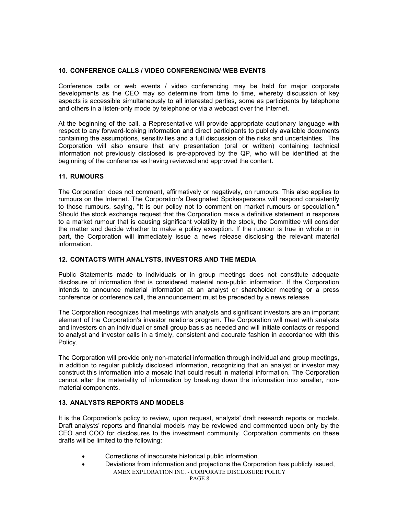## **10. CONFERENCE CALLS / VIDEO CONFERENCING/ WEB EVENTS**

Conference calls or web events / video conferencing may be held for major corporate developments as the CEO may so determine from time to time, whereby discussion of key aspects is accessible simultaneously to all interested parties, some as participants by telephone and others in a listen-only mode by telephone or via a webcast over the Internet.

At the beginning of the call, a Representative will provide appropriate cautionary language with respect to any forward-looking information and direct participants to publicly available documents containing the assumptions, sensitivities and a full discussion of the risks and uncertainties. The Corporation will also ensure that any presentation (oral or written) containing technical information not previously disclosed is pre-approved by the QP, who will be identified at the beginning of the conference as having reviewed and approved the content.

## **11. RUMOURS**

The Corporation does not comment, affirmatively or negatively, on rumours. This also applies to rumours on the Internet. The Corporation's Designated Spokespersons will respond consistently to those rumours, saying, "It is our policy not to comment on market rumours or speculation." Should the stock exchange request that the Corporation make a definitive statement in response to a market rumour that is causing significant volatility in the stock, the Committee will consider the matter and decide whether to make a policy exception. If the rumour is true in whole or in part, the Corporation will immediately issue a news release disclosing the relevant material information.

## **12. CONTACTS WITH ANALYSTS, INVESTORS AND THE MEDIA**

Public Statements made to individuals or in group meetings does not constitute adequate disclosure of information that is considered material non-public information. If the Corporation intends to announce material information at an analyst or shareholder meeting or a press conference or conference call, the announcement must be preceded by a news release.

The Corporation recognizes that meetings with analysts and significant investors are an important element of the Corporation's investor relations program. The Corporation will meet with analysts and investors on an individual or small group basis as needed and will initiate contacts or respond to analyst and investor calls in a timely, consistent and accurate fashion in accordance with this Policy.

The Corporation will provide only non-material information through individual and group meetings, in addition to regular publicly disclosed information, recognizing that an analyst or investor may construct this information into a mosaic that could result in material information. The Corporation cannot alter the materiality of information by breaking down the information into smaller, nonmaterial components.

## **13. ANALYSTS REPORTS AND MODELS**

It is the Corporation's policy to review, upon request, analysts' draft research reports or models. Draft analysts' reports and financial models may be reviewed and commented upon only by the CEO and COO for disclosures to the investment community. Corporation comments on these drafts will be limited to the following:

- Corrections of inaccurate historical public information.
- AMEX EXPLORATION INC. CORPORATE DISCLOSURE POLICY • Deviations from information and projections the Corporation has publicly issued,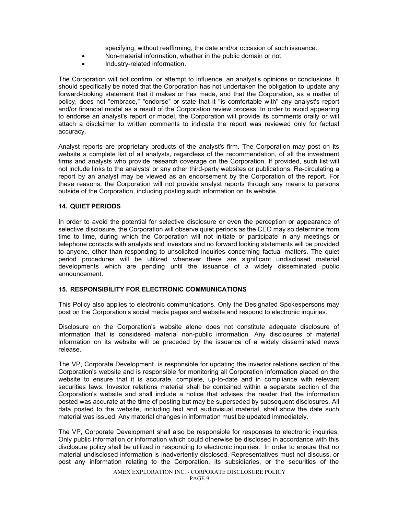specifying, without reaffirming, the date and/or occasion of such issuance.

- Non-material information, whether in the public domain or not.
- Industry-related information.

The Corporation will not confirm, or attempt to influence, an analyst's opinions or conclusions. It should specifically be noted that the Corporation has not undertaken the obligation to update any forward-looking statement that it makes or has made, and that the Corporation, as a matter of policy, does not "embrace," "endorse" or state that it "is comfortable with" any analyst's report and/or financial model as a result of the Corporation review process. In order to avoid appearing to endorse an analyst's report or model, the Corporation will provide its comments orally or will attach a disclaimer to written comments to indicate the report was reviewed only for factual accuracy.

Analyst reports are proprietary products of the analyst's firm. The Corporation may post on its website a complete list of all analysts, regardless of the recommendation, of all the investment firms and analysts who provide research coverage on the Corporation. If provided, such list will not include links to the analysts' or any other third-party websites or publications. Re-circulating a report by an analyst may be viewed as an endorsement by the Corporation of the report. For these reasons, the Corporation will not provide analyst reports through any means to persons outside of the Corporation, including posting such information on its website.

#### **14. QUIET PERIODS**

In order to avoid the potential for selective disclosure or even the perception or appearance of selective disclosure, the Corporation will observe quiet periods as the CEO may so determine from time to time, during which the Corporation will not initiate or participate in any meetings or telephone contacts with analysts and investors and no forward looking statements will be provided to anyone, other than responding to unsolicited inquiries concerning factual matters. The quiet period procedures will be utilized whenever there are significant undisclosed material developments which are pending until the issuance of a widely disseminated public announcement.

### **15. RESPONSIBILITY FOR ELECTRONIC COMMUNICATIONS**

This Policy also applies to electronic communications. Only the Designated Spokespersons may post on the Corporation's social media pages and website and respond to electronic inquiries.

Disclosure on the Corporation's website alone does not constitute adequate disclosure of information that is considered material non-public information. Any disclosures of material information on its website will be preceded by the issuance of a widely disseminated news release.

The VP, Corporate Development is responsible for updating the investor relations section of the Corporation's website and is responsible for monitoring all Corporation information placed on the website to ensure that it is accurate, complete, up-to-date and in compliance with relevant securities laws. Investor relations material shall be contained within a separate section of the Corporation's website and shall include a notice that advises the reader that the information posted was accurate at the time of posting but may be superseded by subsequent disclosures. All data posted to the website, including text and audiovisual material, shall show the date such material was issued. Any material changes in information must be updated immediately.

The VP, Corporate Development shall also be responsible for responses to electronic inquiries. Only public information or information which could otherwise be disclosed in accordance with this disclosure policy shall be utilized in responding to electronic inquiries. In order to ensure that no material undisclosed information is inadvertently disclosed, Representatives must not discuss, or post any information relating to the Corporation, its subsidiaries, or the securities of the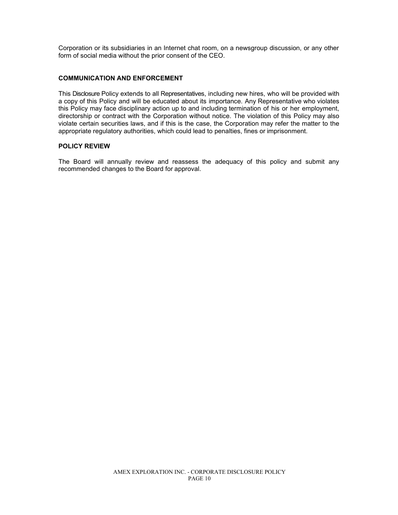Corporation or its subsidiaries in an Internet chat room, on a newsgroup discussion, or any other form of social media without the prior consent of the CEO.

#### **COMMUNICATION AND ENFORCEMENT**

This Disclosure Policy extends to all Representatives, including new hires, who will be provided with a copy of this Policy and will be educated about its importance. Any Representative who violates this Policy may face disciplinary action up to and including termination of his or her employment, directorship or contract with the Corporation without notice. The violation of this Policy may also violate certain securities laws, and if this is the case, the Corporation may refer the matter to the appropriate regulatory authorities, which could lead to penalties, fines or imprisonment.

#### **POLICY REVIEW**

The Board will annually review and reassess the adequacy of this policy and submit any recommended changes to the Board for approval.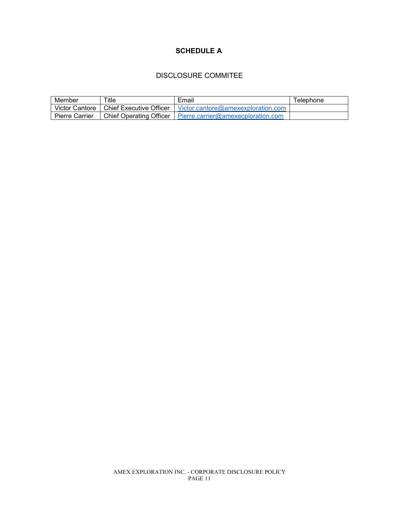## **SCHEDULE A**

# DISCLOSURE COMMITEE

| Member                | Title                          | Email                                             | $\tau$ elephone |
|-----------------------|--------------------------------|---------------------------------------------------|-----------------|
| Victor Cantore        | Chief Executive Officer        | Victor.cantore@amexexploration.com                |                 |
| <b>Pierre Carrier</b> | <b>Chief Operating Officer</b> | $\blacksquare$ Pierre.carrier@amexecploration.com |                 |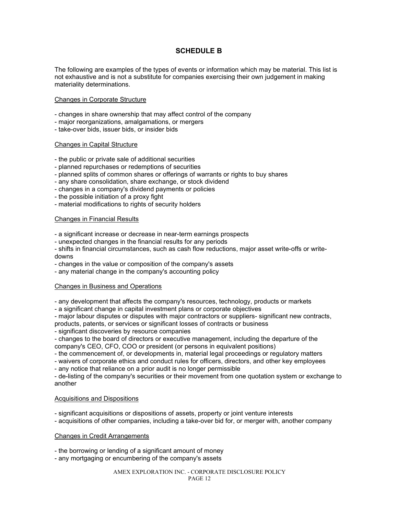## **SCHEDULE B**

The following are examples of the types of events or information which may be material. This list is not exhaustive and is not a substitute for companies exercising their own judgement in making materiality determinations.

#### Changes in Corporate Structure

- changes in share ownership that may affect control of the company
- major reorganizations, amalgamations, or mergers
- take-over bids, issuer bids, or insider bids

#### Changes in Capital Structure

- the public or private sale of additional securities
- planned repurchases or redemptions of securities
- planned splits of common shares or offerings of warrants or rights to buy shares
- any share consolidation, share exchange, or stock dividend
- changes in a company's dividend payments or policies
- the possible initiation of a proxy fight
- material modifications to rights of security holders

#### Changes in Financial Results

- a significant increase or decrease in near-term earnings prospects

- unexpected changes in the financial results for any periods

- shifts in financial circumstances, such as cash flow reductions, major asset write-offs or writedowns

- changes in the value or composition of the company's assets

- any material change in the company's accounting policy

#### Changes in Business and Operations

- any development that affects the company's resources, technology, products or markets

- a significant change in capital investment plans or corporate objectives

- major labour disputes or disputes with major contractors or suppliers- significant new contracts, products, patents, or services or significant losses of contracts or business

- significant discoveries by resource companies

- changes to the board of directors or executive management, including the departure of the company's CEO, CFO, COO or president (or persons in equivalent positions)

- the commencement of, or developments in, material legal proceedings or regulatory matters

- waivers of corporate ethics and conduct rules for officers, directors, and other key employees

- any notice that reliance on a prior audit is no longer permissible

- de-listing of the company's securities or their movement from one quotation system or exchange to another

#### Acquisitions and Dispositions

- significant acquisitions or dispositions of assets, property or joint venture interests

- acquisitions of other companies, including a take-over bid for, or merger with, another company

#### Changes in Credit Arrangements

- the borrowing or lending of a significant amount of money

- any mortgaging or encumbering of the company's assets

#### AMEX EXPLORATION INC. - CORPORATE DISCLOSURE POLICY PAGE 12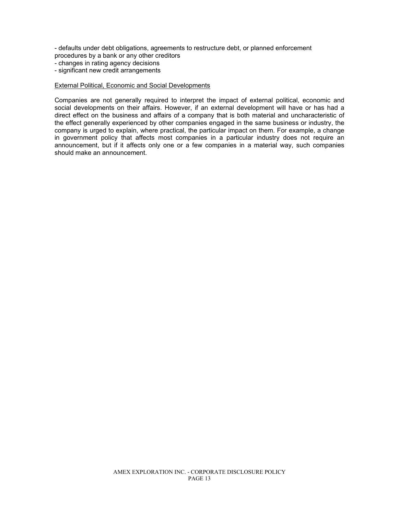- defaults under debt obligations, agreements to restructure debt, or planned enforcement procedures by a bank or any other creditors

- changes in rating agency decisions
- significant new credit arrangements

#### External Political, Economic and Social Developments

Companies are not generally required to interpret the impact of external political, economic and social developments on their affairs. However, if an external development will have or has had a direct effect on the business and affairs of a company that is both material and uncharacteristic of the effect generally experienced by other companies engaged in the same business or industry, the company is urged to explain, where practical, the particular impact on them. For example, a change in government policy that affects most companies in a particular industry does not require an announcement, but if it affects only one or a few companies in a material way, such companies should make an announcement.